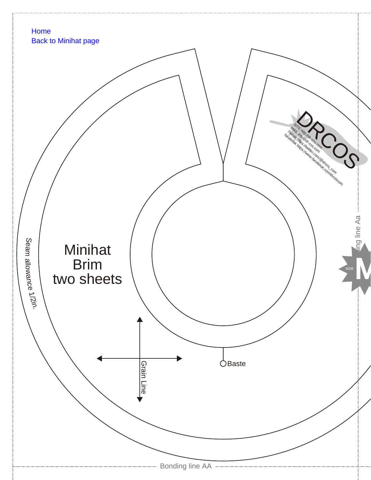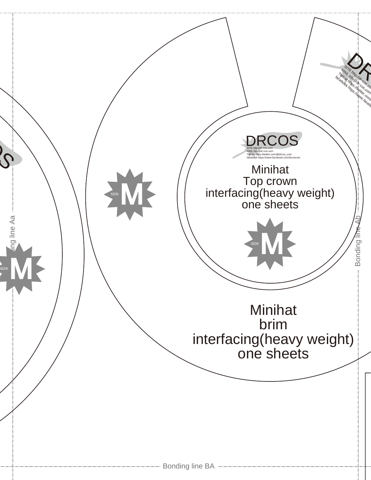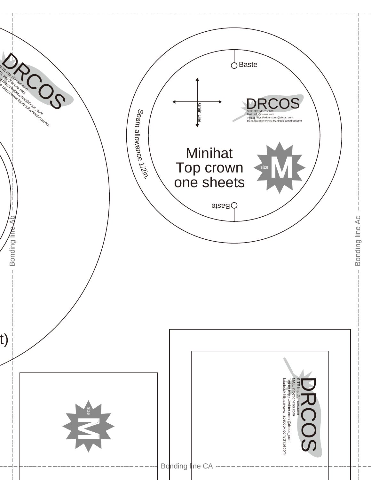